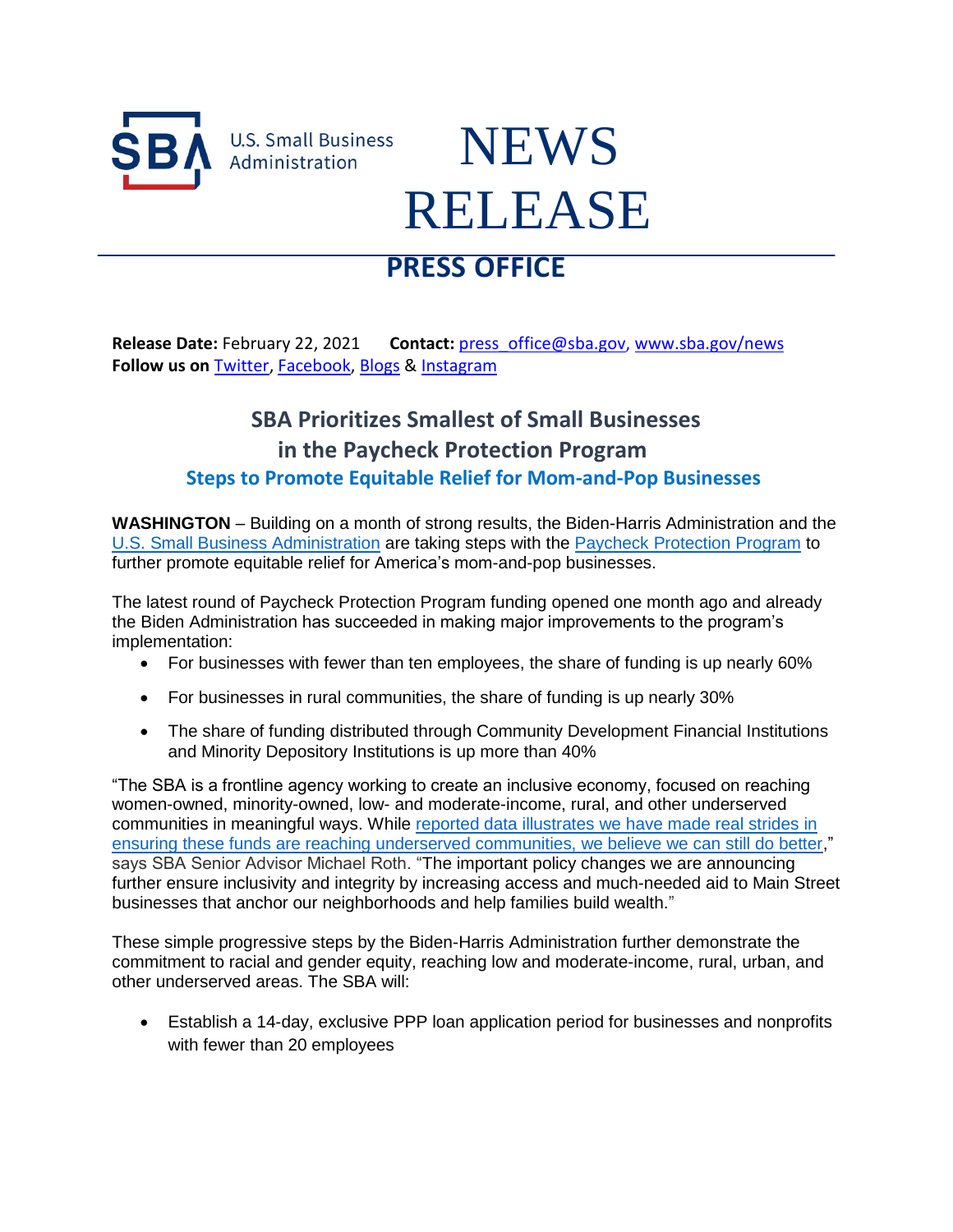

**U.S. Small Business** Administration

## NEWS RELEASE

## **PRESS OFFICE**

**Release Date:** February 22, 2021 **Contact:** [press\\_office@sba.gov,](mailto:press_office@sba.gov) [www.sba.gov/news](http://www.sba.gov/news) **Follow us on** [Twitter,](https://gcc02.safelinks.protection.outlook.com/?url=http%3A%2F%2Fwww.twitter.com%2FSBAgov&data=04%7C01%7Cdaniel.rickman%40sba.gov%7C29cdaf2069064421a89c08d8d7586157%7C3c89fd8a7f684667aa1541ebf2208961%7C1%7C0%7C637496121881051166%7CUnknown%7CTWFpbGZsb3d8eyJWIjoiMC4wLjAwMDAiLCJQIjoiV2luMzIiLCJBTiI6Ik1haWwiLCJXVCI6Mn0%3D%7C1000&sdata=sf1TYdxFgbOfvuwxwuGnYgoVu0f%2FW02vYrvVE5AawFc%3D&reserved=0) [Facebook,](https://gcc02.safelinks.protection.outlook.com/?url=http%3A%2F%2Fwww.facebook.com%2Fsbagov&data=04%7C01%7Cdaniel.rickman%40sba.gov%7C29cdaf2069064421a89c08d8d7586157%7C3c89fd8a7f684667aa1541ebf2208961%7C1%7C0%7C637496121881061124%7CUnknown%7CTWFpbGZsb3d8eyJWIjoiMC4wLjAwMDAiLCJQIjoiV2luMzIiLCJBTiI6Ik1haWwiLCJXVCI6Mn0%3D%7C1000&sdata=SN4T1H%2Ft7vzSQ9JMd4sdFzTE7v6Z%2F74pdfpiDdsF0mg%3D&reserved=0) [Blogs](http://www.sba.gov/blogs) & [Instagram](https://gcc02.safelinks.protection.outlook.com/?url=https%3A%2F%2Fwww.instagram.com%2Fsbagov%2F&data=04%7C01%7Cdaniel.rickman%40sba.gov%7C29cdaf2069064421a89c08d8d7586157%7C3c89fd8a7f684667aa1541ebf2208961%7C1%7C0%7C637496121881061124%7CUnknown%7CTWFpbGZsb3d8eyJWIjoiMC4wLjAwMDAiLCJQIjoiV2luMzIiLCJBTiI6Ik1haWwiLCJXVCI6Mn0%3D%7C1000&sdata=9QteUsZ3dBwGOiT0dt4CVqYbWgSkKGNKwmJcZRZUoWc%3D&reserved=0)

## **SBA Prioritizes Smallest of Small Businesses in the Paycheck Protection Program Steps to Promote Equitable Relief for Mom-and-Pop Businesses**

**WASHINGTON** – Building on a month of strong results, the Biden-Harris Administration and the U.S. Small Business [Administration](http://www.sba.gov/) are taking steps with the [Paycheck Protection Program](http://www.sba.gov/ppp) to further promote equitable relief for America's mom-and-pop businesses.

The latest round of Paycheck Protection Program funding opened one month ago and already the Biden Administration has succeeded in making major improvements to the program's implementation:

- For businesses with fewer than ten employees, the share of funding is up nearly 60%
- For businesses in rural communities, the share of funding is up nearly 30%
- The share of funding distributed through Community Development Financial Institutions and Minority Depository Institutions is up more than 40%

"The SBA is a frontline agency working to create an inclusive economy, focused on reaching women-owned, minority-owned, low- and moderate-income, rural, and other underserved communities in meaningful ways. While [reported data illustrates](https://www.sba.gov/document/report-sba-covid-relief-program-report) we have made real strides in ensuring these funds are reaching underserved communities, we believe we can still do better," says SBA Senior Advisor Michael Roth. "The important policy changes we are announcing further ensure inclusivity and integrity by increasing access and much-needed aid to Main Street businesses that anchor our neighborhoods and help families build wealth."

These simple progressive steps by the Biden-Harris Administration further demonstrate the commitment to racial and gender equity, reaching low and moderate-income, rural, urban, and other underserved areas. The SBA will:

 Establish a 14-day, exclusive PPP loan application period for businesses and nonprofits with fewer than 20 employees